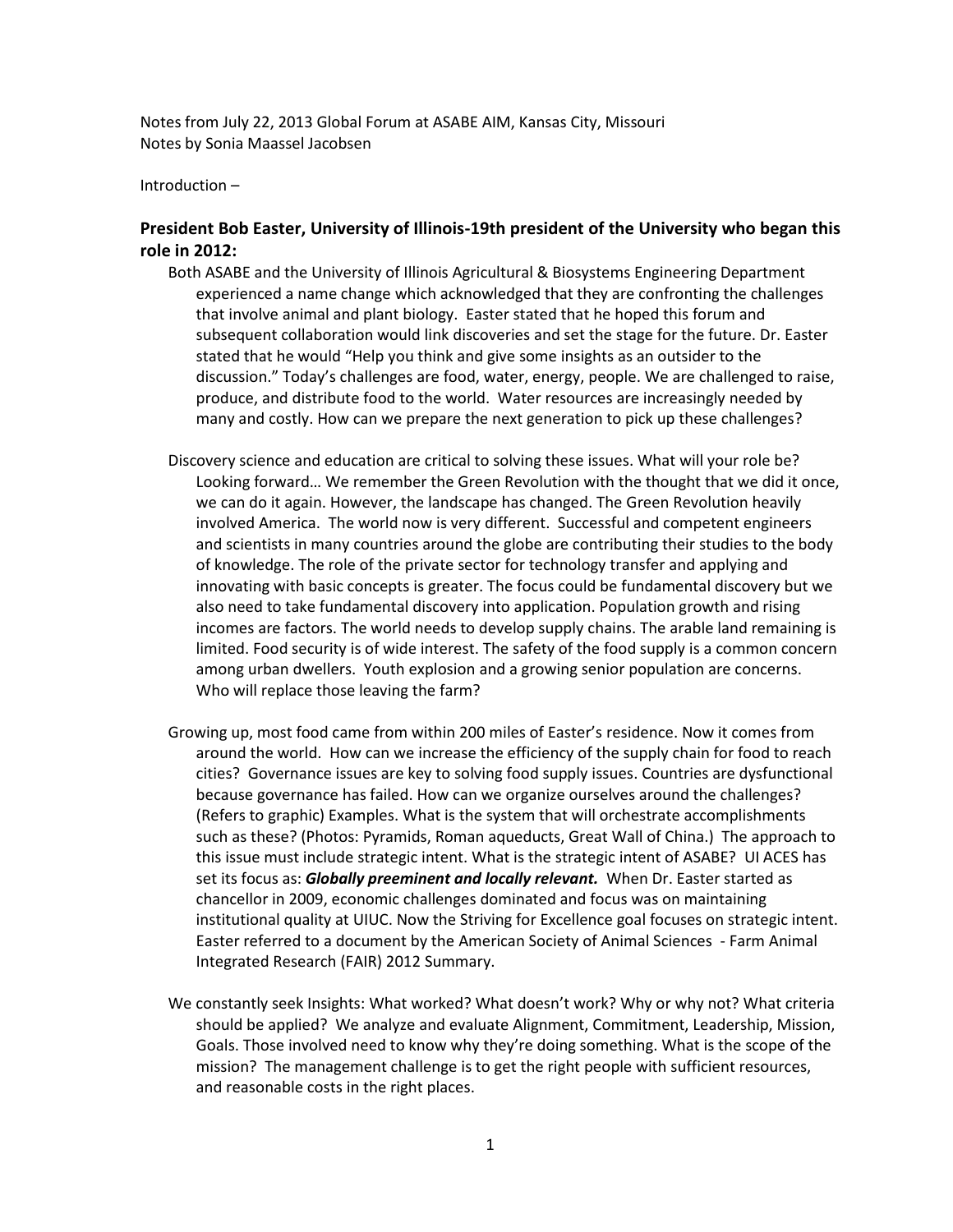Notes from July 22, 2013 Global Forum at ASABE AIM, Kansas City, Missouri Notes by Sonia Maassel Jacobsen

Introduction –

#### **President Bob Easter, University of Illinois-19th president of the University who began this role in 2012:**

- Both ASABE and the University of Illinois Agricultural & Biosystems Engineering Department experienced a name change which acknowledged that they are confronting the challenges that involve animal and plant biology. Easter stated that he hoped this forum and subsequent collaboration would link discoveries and set the stage for the future. Dr. Easter stated that he would "Help you think and give some insights as an outsider to the discussion." Today's challenges are food, water, energy, people. We are challenged to raise, produce, and distribute food to the world. Water resources are increasingly needed by many and costly. How can we prepare the next generation to pick up these challenges?
- Discovery science and education are critical to solving these issues. What will your role be? Looking forward… We remember the Green Revolution with the thought that we did it once, we can do it again. However, the landscape has changed. The Green Revolution heavily involved America. The world now is very different. Successful and competent engineers and scientists in many countries around the globe are contributing their studies to the body of knowledge. The role of the private sector for technology transfer and applying and innovating with basic concepts is greater. The focus could be fundamental discovery but we also need to take fundamental discovery into application. Population growth and rising incomes are factors. The world needs to develop supply chains. The arable land remaining is limited. Food security is of wide interest. The safety of the food supply is a common concern among urban dwellers. Youth explosion and a growing senior population are concerns. Who will replace those leaving the farm?
- Growing up, most food came from within 200 miles of Easter's residence. Now it comes from around the world. How can we increase the efficiency of the supply chain for food to reach cities? Governance issues are key to solving food supply issues. Countries are dysfunctional because governance has failed. How can we organize ourselves around the challenges? (Refers to graphic) Examples. What is the system that will orchestrate accomplishments such as these? (Photos: Pyramids, Roman aqueducts, Great Wall of China.) The approach to this issue must include strategic intent. What is the strategic intent of ASABE? UI ACES has set its focus as: *Globally preeminent and locally relevant.* When Dr. Easter started as chancellor in 2009, economic challenges dominated and focus was on maintaining institutional quality at UIUC. Now the Striving for Excellence goal focuses on strategic intent. Easter referred to a document by the American Society of Animal Sciences - Farm Animal Integrated Research (FAIR) 2012 Summary.
- We constantly seek Insights: What worked? What doesn't work? Why or why not? What criteria should be applied? We analyze and evaluate Alignment, Commitment, Leadership, Mission, Goals. Those involved need to know why they're doing something. What is the scope of the mission? The management challenge is to get the right people with sufficient resources, and reasonable costs in the right places.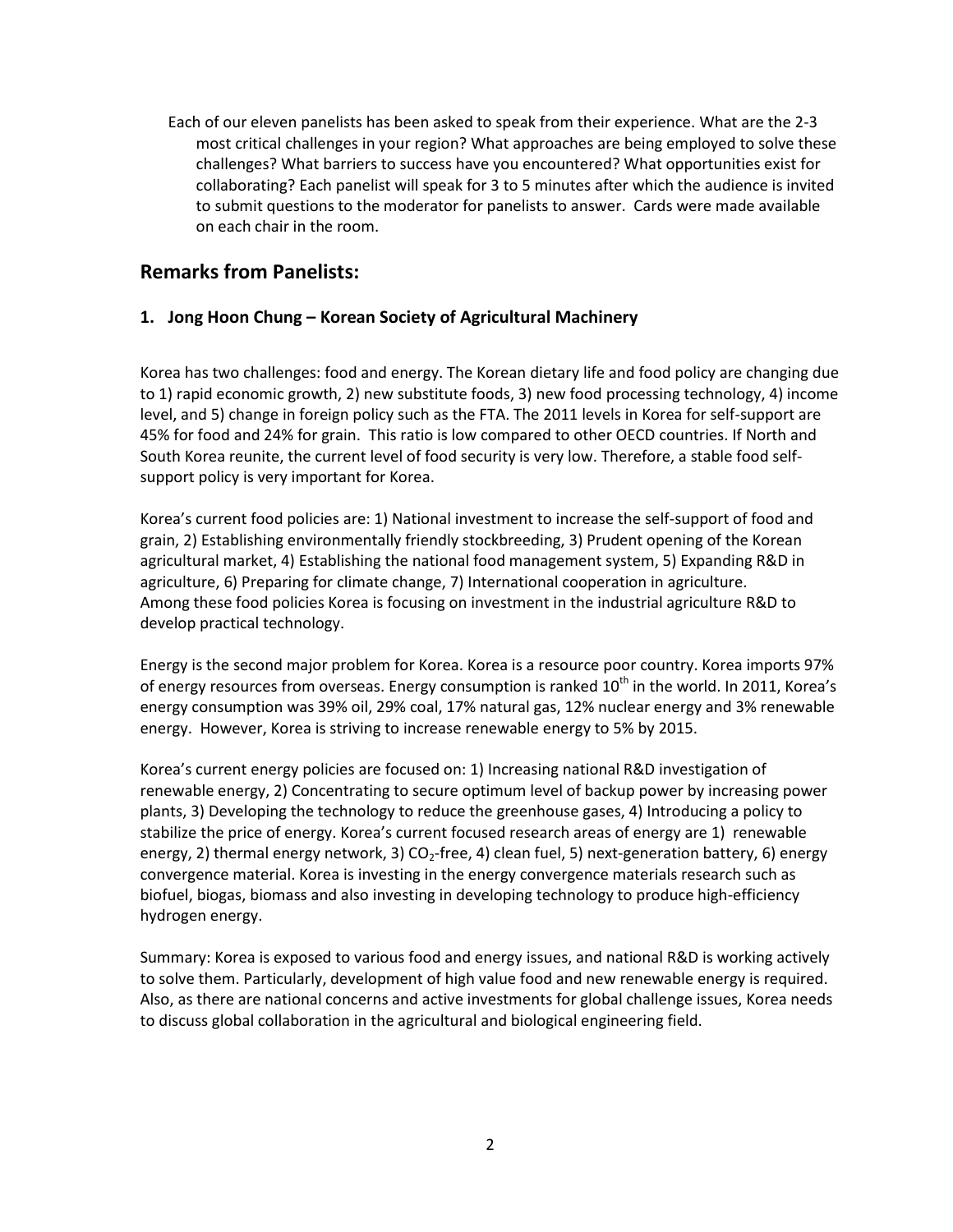Each of our eleven panelists has been asked to speak from their experience. What are the 2-3 most critical challenges in your region? What approaches are being employed to solve these challenges? What barriers to success have you encountered? What opportunities exist for collaborating? Each panelist will speak for 3 to 5 minutes after which the audience is invited to submit questions to the moderator for panelists to answer. Cards were made available on each chair in the room.

# **Remarks from Panelists:**

### **1. Jong Hoon Chung – Korean Society of Agricultural Machinery**

Korea has two challenges: food and energy. The Korean dietary life and food policy are changing due to 1) rapid economic growth, 2) new substitute foods, 3) new food processing technology, 4) income level, and 5) change in foreign policy such as the FTA. The 2011 levels in Korea for self-support are 45% for food and 24% for grain. This ratio is low compared to other OECD countries. If North and South Korea reunite, the current level of food security is very low. Therefore, a stable food selfsupport policy is very important for Korea.

Korea's current food policies are: 1) National investment to increase the self-support of food and grain, 2) Establishing environmentally friendly stockbreeding, 3) Prudent opening of the Korean agricultural market, 4) Establishing the national food management system, 5) Expanding R&D in agriculture, 6) Preparing for climate change, 7) International cooperation in agriculture. Among these food policies Korea is focusing on investment in the industrial agriculture R&D to develop practical technology.

Energy is the second major problem for Korea. Korea is a resource poor country. Korea imports 97% of energy resources from overseas. Energy consumption is ranked 10<sup>th</sup> in the world. In 2011, Korea's energy consumption was 39% oil, 29% coal, 17% natural gas, 12% nuclear energy and 3% renewable energy. However, Korea is striving to increase renewable energy to 5% by 2015.

Korea's current energy policies are focused on: 1) Increasing national R&D investigation of renewable energy, 2) Concentrating to secure optimum level of backup power by increasing power plants, 3) Developing the technology to reduce the greenhouse gases, 4) Introducing a policy to stabilize the price of energy. Korea's current focused research areas of energy are 1) renewable energy, 2) thermal energy network, 3)  $CO<sub>2</sub>$ -free, 4) clean fuel, 5) next-generation battery, 6) energy convergence material. Korea is investing in the energy convergence materials research such as biofuel, biogas[, biomass](http://endic.naver.com/enkrEntry.nhn?entryId=b7e1b103367d4b7788016d9d3bdbf187&query=%EB%AA%A9%EC%A7%88%EA%B3%84) and also investing in developing technology to produce high-efficiency hydrogen energy.

Summary: Korea is exposed to various food and energy issues, and national R&D is working actively to solve them. Particularly, development of high value food and new renewable energy is required. Also, as there are national concerns and active investments for global challenge issues, Korea needs to discuss global collaboration in the agricultural and biological engineering field.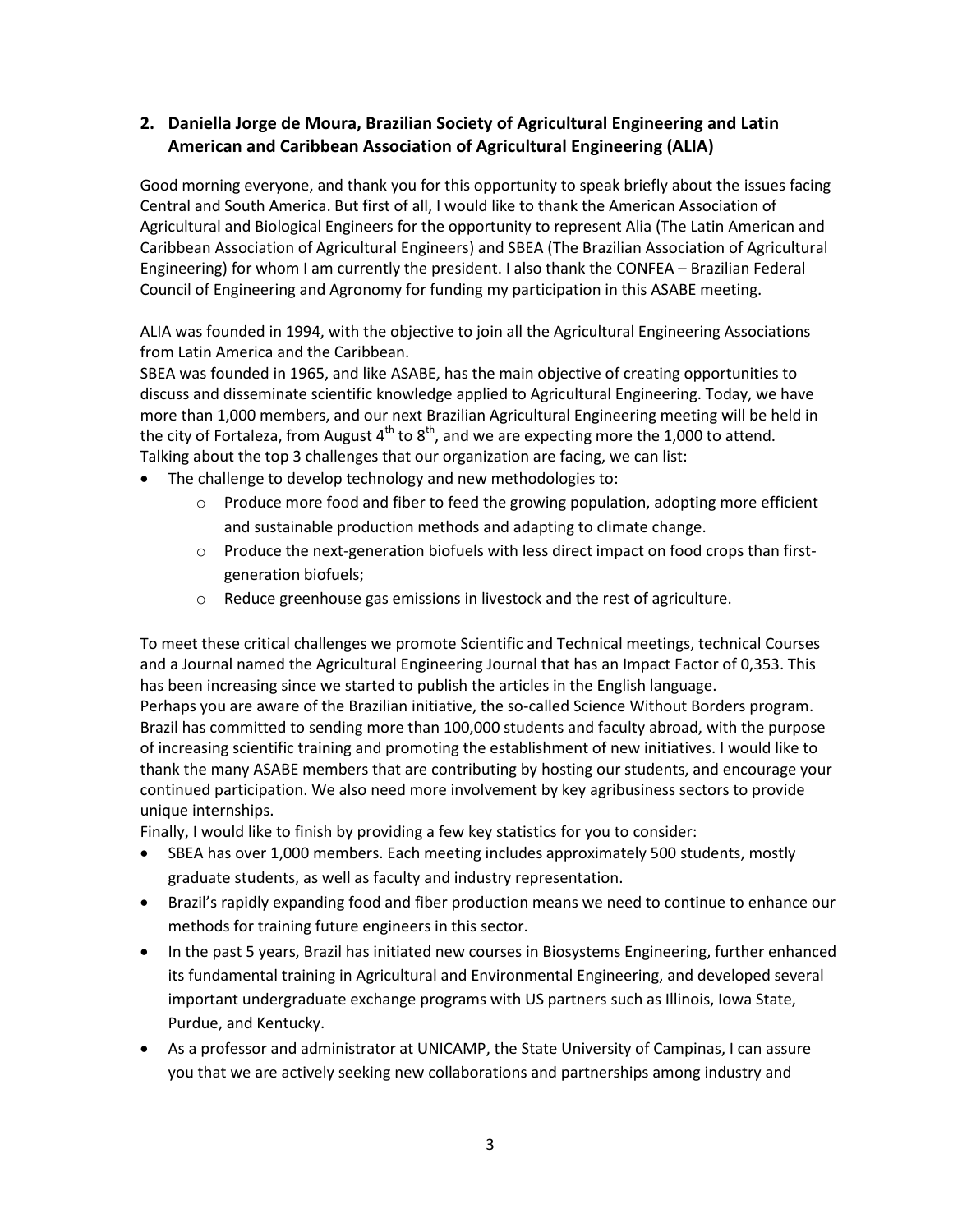## **2. Daniella Jorge de Moura, Brazilian Society of Agricultural Engineering and Latin American and Caribbean Association of Agricultural Engineering (ALIA)**

Good morning everyone, and thank you for this opportunity to speak briefly about the issues facing Central and South America. But first of all, I would like to thank the American Association of Agricultural and Biological Engineers for the opportunity to represent Alia (The Latin American and Caribbean Association of Agricultural Engineers) and SBEA (The Brazilian Association of Agricultural Engineering) for whom I am currently the president. I also thank the CONFEA – Brazilian Federal Council of Engineering and Agronomy for funding my participation in this ASABE meeting.

ALIA was founded in 1994, with the objective to join all the Agricultural Engineering Associations from Latin America and the Caribbean.

SBEA was founded in 1965, and like ASABE, has the main objective of creating opportunities to discuss and disseminate scientific knowledge applied to Agricultural Engineering. Today, we have more than 1,000 members, and our next Brazilian Agricultural Engineering meeting will be held in the city of Fortaleza, from August  $4^{th}$  to  $8^{th}$ , and we are expecting more the 1,000 to attend. Talking about the top 3 challenges that our organization are facing, we can list:

- The challenge to develop technology and new methodologies to:
	- $\circ$  Produce more food and fiber to feed the growing population, adopting more efficient and sustainable production methods and adapting to climate change.
	- $\circ$  Produce the next-generation biofuels with less direct impact on food crops than firstgeneration biofuels;
	- o Reduce greenhouse gas emissions in livestock and the rest of agriculture.

To meet these critical challenges we promote Scientific and Technical meetings, technical Courses and a Journal named the Agricultural Engineering Journal that has an Impact Factor of 0,353. This has been increasing since we started to publish the articles in the English language. Perhaps you are aware of the Brazilian initiative, the so-called Science Without Borders program. Brazil has committed to sending more than 100,000 students and faculty abroad, with the purpose of increasing scientific training and promoting the establishment of new initiatives. I would like to thank the many ASABE members that are contributing by hosting our students, and encourage your continued participation. We also need more involvement by key agribusiness sectors to provide unique internships.

Finally, I would like to finish by providing a few key statistics for you to consider:

- SBEA has over 1,000 members. Each meeting includes approximately 500 students, mostly graduate students, as well as faculty and industry representation.
- Brazil's rapidly expanding food and fiber production means we need to continue to enhance our methods for training future engineers in this sector.
- In the past 5 years, Brazil has initiated new courses in Biosystems Engineering, further enhanced its fundamental training in Agricultural and Environmental Engineering, and developed several important undergraduate exchange programs with US partners such as Illinois, Iowa State, Purdue, and Kentucky.
- As a professor and administrator at UNICAMP, the State University of Campinas, I can assure you that we are actively seeking new collaborations and partnerships among industry and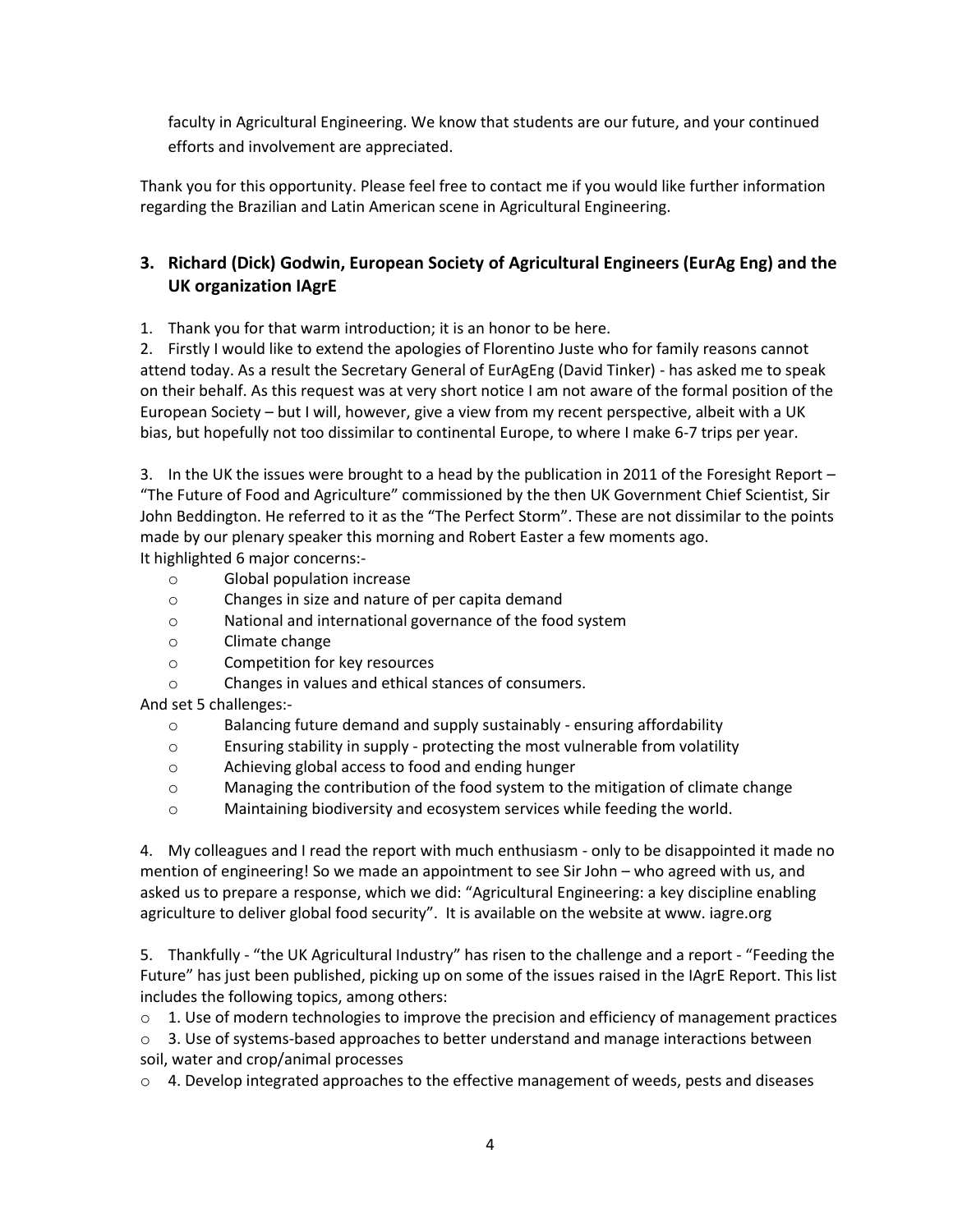faculty in Agricultural Engineering. We know that students are our future, and your continued efforts and involvement are appreciated.

Thank you for this opportunity. Please feel free to contact me if you would like further information regarding the Brazilian and Latin American scene in Agricultural Engineering.

## **3. Richard (Dick) Godwin, European Society of Agricultural Engineers (EurAg Eng) and the UK organization IAgrE**

1. Thank you for that warm introduction; it is an honor to be here.

2. Firstly I would like to extend the apologies of Florentino Juste who for family reasons cannot attend today. As a result the Secretary General of EurAgEng (David Tinker) - has asked me to speak on their behalf. As this request was at very short notice I am not aware of the formal position of the European Society – but I will, however, give a view from my recent perspective, albeit with a UK bias, but hopefully not too dissimilar to continental Europe, to where I make 6-7 trips per year.

3. In the UK the issues were brought to a head by the publication in 2011 of the Foresight Report – "The Future of Food and Agriculture" commissioned by the then UK Government Chief Scientist, Sir John Beddington. He referred to it as the "The Perfect Storm". These are not dissimilar to the points made by our plenary speaker this morning and Robert Easter a few moments ago. It highlighted 6 major concerns:-

- o Global population increase
- o Changes in size and nature of per capita demand
- o National and international governance of the food system
- o Climate change
- o Competition for key resources
- o Changes in values and ethical stances of consumers.

And set 5 challenges:-

- o Balancing future demand and supply sustainably ensuring affordability
- o Ensuring stability in supply protecting the most vulnerable from volatility
- o Achieving global access to food and ending hunger
- o Managing the contribution of the food system to the mitigation of climate change
- o Maintaining biodiversity and ecosystem services while feeding the world.

4. My colleagues and I read the report with much enthusiasm - only to be disappointed it made no mention of engineering! So we made an appointment to see Sir John – who agreed with us, and asked us to prepare a response, which we did: "Agricultural Engineering: a key discipline enabling agriculture to deliver global food security". It is available on the website at www. iagre.org

5. Thankfully - "the UK Agricultural Industry" has risen to the challenge and a report - "Feeding the Future" has just been published, picking up on some of the issues raised in the IAgrE Report. This list includes the following topics, among others:

 $\circ$  1. Use of modern technologies to improve the precision and efficiency of management practices

 $\circ$  3. Use of systems-based approaches to better understand and manage interactions between soil, water and crop/animal processes

 $\circ$  4. Develop integrated approaches to the effective management of weeds, pests and diseases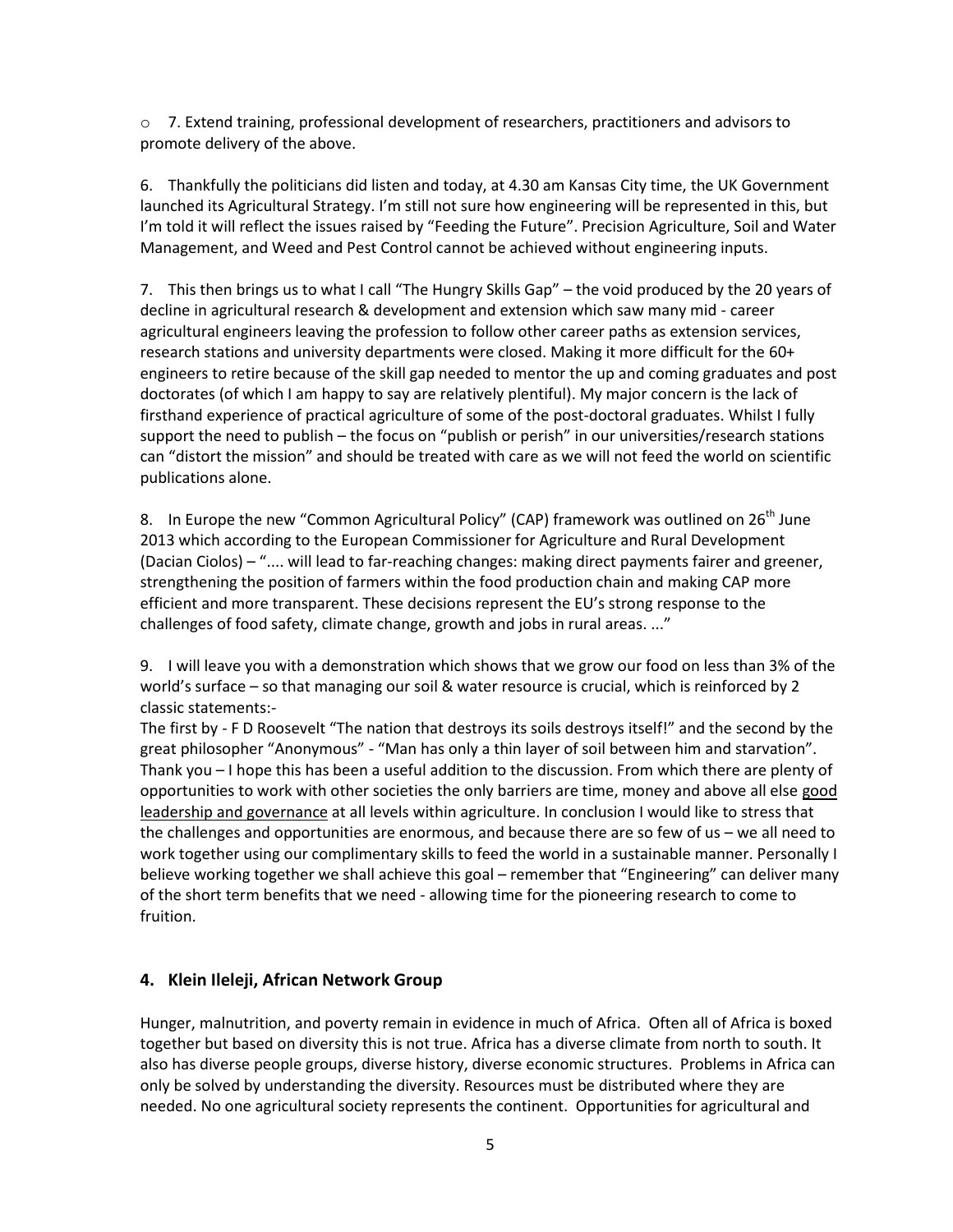$\circ$  7. Extend training, professional development of researchers, practitioners and advisors to promote delivery of the above.

6. Thankfully the politicians did listen and today, at 4.30 am Kansas City time, the UK Government launched its Agricultural Strategy. I'm still not sure how engineering will be represented in this, but I'm told it will reflect the issues raised by "Feeding the Future". Precision Agriculture, Soil and Water Management, and Weed and Pest Control cannot be achieved without engineering inputs.

7. This then brings us to what I call "The Hungry Skills Gap" – the void produced by the 20 years of decline in agricultural research & development and extension which saw many mid - career agricultural engineers leaving the profession to follow other career paths as extension services, research stations and university departments were closed. Making it more difficult for the 60+ engineers to retire because of the skill gap needed to mentor the up and coming graduates and post doctorates (of which I am happy to say are relatively plentiful). My major concern is the lack of firsthand experience of practical agriculture of some of the post-doctoral graduates. Whilst I fully support the need to publish – the focus on "publish or perish" in our universities/research stations can "distort the mission" and should be treated with care as we will not feed the world on scientific publications alone.

8. In Europe the new "Common Agricultural Policy" (CAP) framework was outlined on 26<sup>th</sup> June 2013 which according to the European Commissioner for Agriculture and Rural Development (Dacian Ciolos) – ".... will lead to far-reaching changes: making direct payments fairer and greener, strengthening the position of farmers within the food production chain and making CAP more efficient and more transparent. These decisions represent the EU's strong response to the challenges of food safety, climate change, growth and jobs in rural areas. ..."

9. I will leave you with a demonstration which shows that we grow our food on less than 3% of the world's surface – so that managing our soil & water resource is crucial, which is reinforced by 2 classic statements:-

The first by - F D Roosevelt "The nation that destroys its soils destroys itself!" and the second by the great philosopher "Anonymous" - "Man has only a thin layer of soil between him and starvation". Thank you – I hope this has been a useful addition to the discussion. From which there are plenty of opportunities to work with other societies the only barriers are time, money and above all else good leadership and governance at all levels within agriculture. In conclusion I would like to stress that the challenges and opportunities are enormous, and because there are so few of us – we all need to work together using our complimentary skills to feed the world in a sustainable manner. Personally I believe working together we shall achieve this goal – remember that "Engineering" can deliver many of the short term benefits that we need - allowing time for the pioneering research to come to fruition.

## **4. Klein Ileleji, African Network Group**

Hunger, malnutrition, and poverty remain in evidence in much of Africa. Often all of Africa is boxed together but based on diversity this is not true. Africa has a diverse climate from north to south. It also has diverse people groups, diverse history, diverse economic structures. Problems in Africa can only be solved by understanding the diversity. Resources must be distributed where they are needed. No one agricultural society represents the continent. Opportunities for agricultural and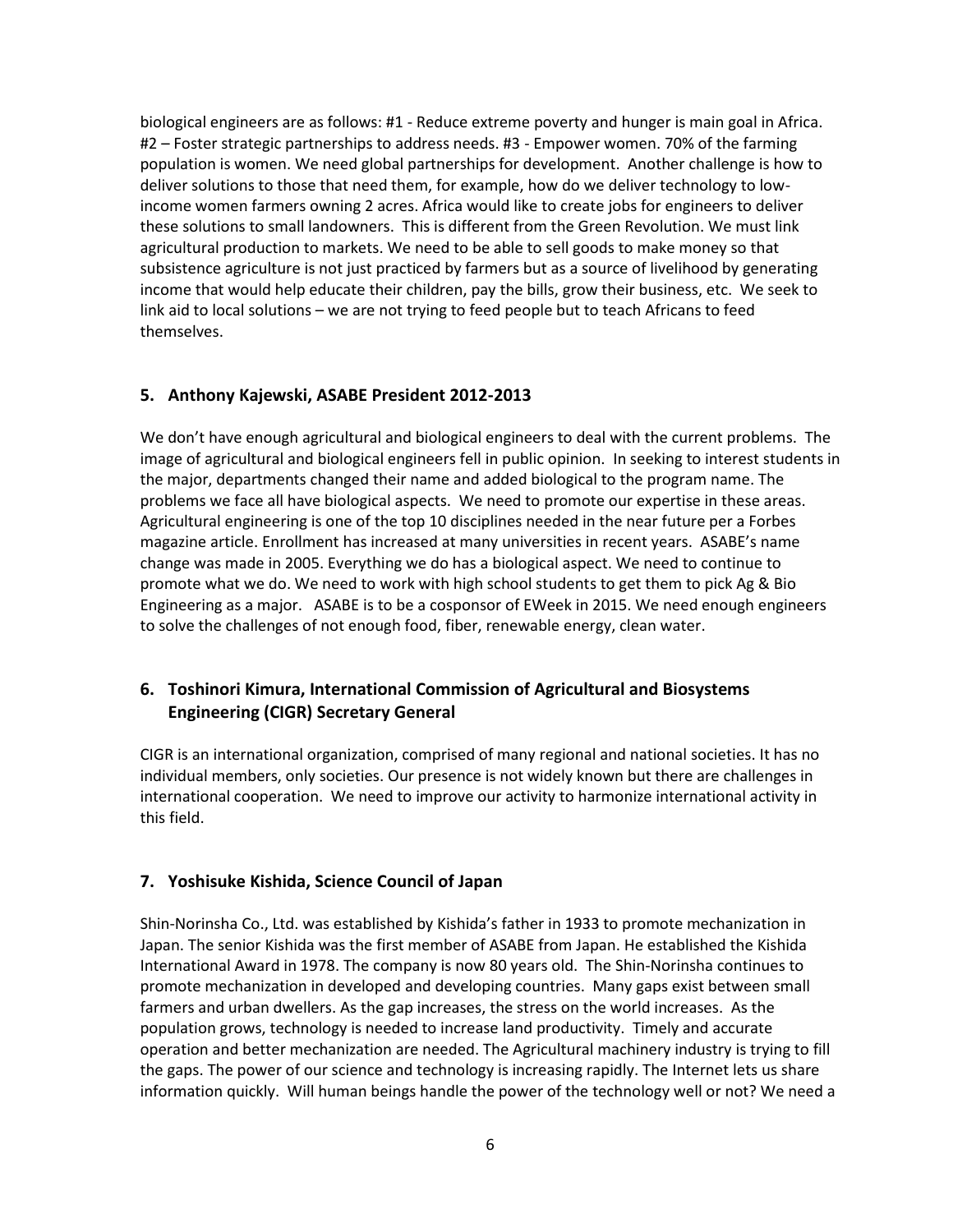biological engineers are as follows: #1 - Reduce extreme poverty and hunger is main goal in Africa. #2 – Foster strategic partnerships to address needs. #3 - Empower women. 70% of the farming population is women. We need global partnerships for development. Another challenge is how to deliver solutions to those that need them, for example, how do we deliver technology to lowincome women farmers owning 2 acres. Africa would like to create jobs for engineers to deliver these solutions to small landowners. This is different from the Green Revolution. We must link agricultural production to markets. We need to be able to sell goods to make money so that subsistence agriculture is not just practiced by farmers but as a source of livelihood by generating income that would help educate their children, pay the bills, grow their business, etc. We seek to link aid to local solutions – we are not trying to feed people but to teach Africans to feed themselves.

#### **5. Anthony Kajewski, ASABE President 2012-2013**

We don't have enough agricultural and biological engineers to deal with the current problems. The image of agricultural and biological engineers fell in public opinion. In seeking to interest students in the major, departments changed their name and added biological to the program name. The problems we face all have biological aspects. We need to promote our expertise in these areas. Agricultural engineering is one of the top 10 disciplines needed in the near future per a Forbes magazine article. Enrollment has increased at many universities in recent years. ASABE's name change was made in 2005. Everything we do has a biological aspect. We need to continue to promote what we do. We need to work with high school students to get them to pick Ag & Bio Engineering as a major. ASABE is to be a cosponsor of EWeek in 2015. We need enough engineers to solve the challenges of not enough food, fiber, renewable energy, clean water.

## **6. Toshinori Kimura, International Commission of Agricultural and Biosystems Engineering (CIGR) Secretary General**

CIGR is an international organization, comprised of many regional and national societies. It has no individual members, only societies. Our presence is not widely known but there are challenges in international cooperation. We need to improve our activity to harmonize international activity in this field.

## **7. Yoshisuke Kishida, Science Council of Japan**

Shin-Norinsha Co., Ltd. was established by Kishida's father in 1933 to promote mechanization in Japan. The senior Kishida was the first member of ASABE from Japan. He established the Kishida International Award in 1978. The company is now 80 years old. The Shin-Norinsha continues to promote mechanization in developed and developing countries. Many gaps exist between small farmers and urban dwellers. As the gap increases, the stress on the world increases. As the population grows, technology is needed to increase land productivity. Timely and accurate operation and better mechanization are needed. The Agricultural machinery industry is trying to fill the gaps. The power of our science and technology is increasing rapidly. The Internet lets us share information quickly. Will human beings handle the power of the technology well or not? We need a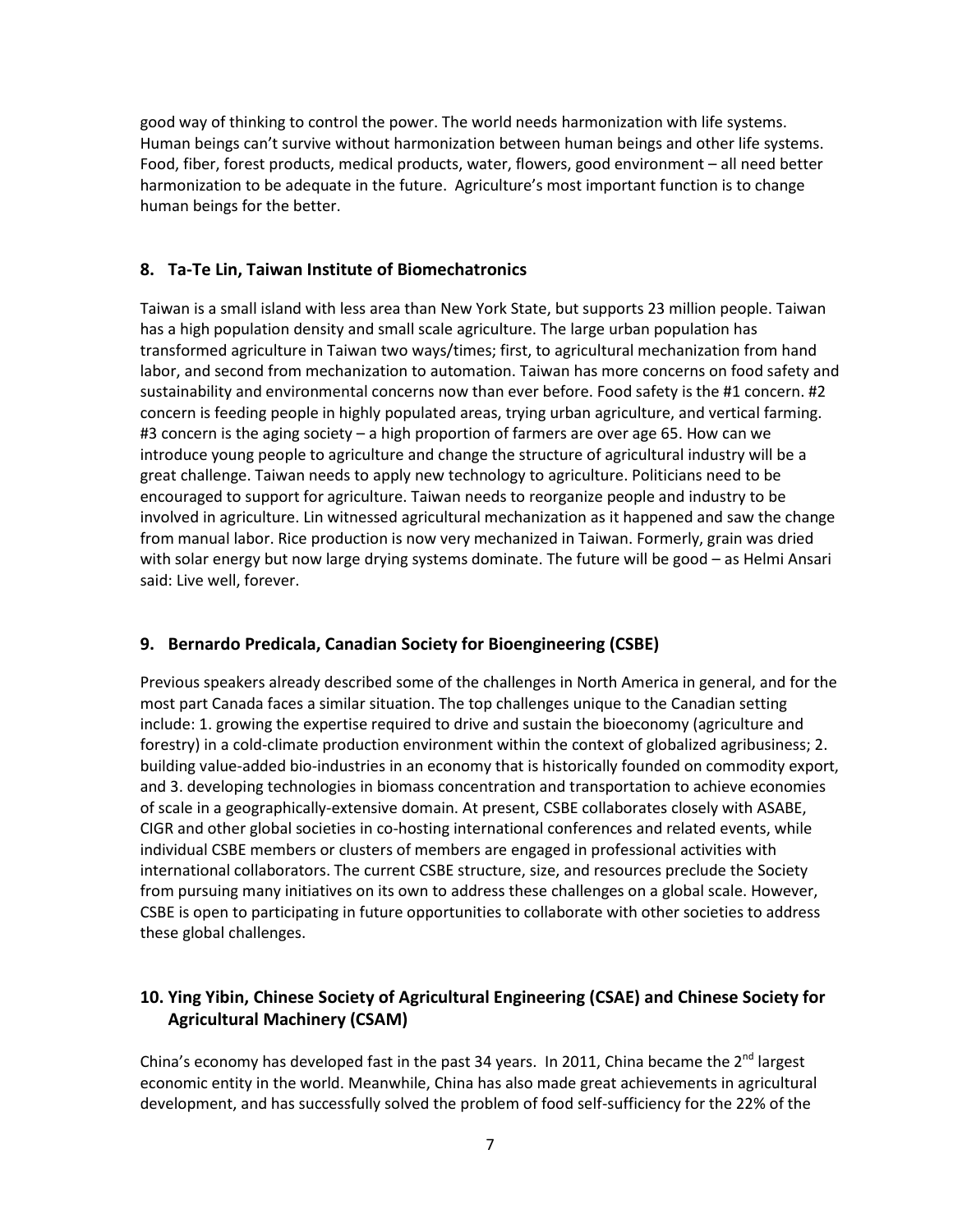good way of thinking to control the power. The world needs harmonization with life systems. Human beings can't survive without harmonization between human beings and other life systems. Food, fiber, forest products, medical products, water, flowers, good environment – all need better harmonization to be adequate in the future. Agriculture's most important function is to change human beings for the better.

### **8. Ta-Te Lin, Taiwan Institute of Biomechatronics**

Taiwan is a small island with less area than New York State, but supports 23 million people. Taiwan has a high population density and small scale agriculture. The large urban population has transformed agriculture in Taiwan two ways/times; first, to agricultural mechanization from hand labor, and second from mechanization to automation. Taiwan has more concerns on food safety and sustainability and environmental concerns now than ever before. Food safety is the #1 concern. #2 concern is feeding people in highly populated areas, trying urban agriculture, and vertical farming. #3 concern is the aging society – a high proportion of farmers are over age 65. How can we introduce young people to agriculture and change the structure of agricultural industry will be a great challenge. Taiwan needs to apply new technology to agriculture. Politicians need to be encouraged to support for agriculture. Taiwan needs to reorganize people and industry to be involved in agriculture. Lin witnessed agricultural mechanization as it happened and saw the change from manual labor. Rice production is now very mechanized in Taiwan. Formerly, grain was dried with solar energy but now large drying systems dominate. The future will be good – as Helmi Ansari said: Live well, forever.

#### **9. Bernardo Predicala, Canadian Society for Bioengineering (CSBE)**

Previous speakers already described some of the challenges in North America in general, and for the most part Canada faces a similar situation. The top challenges unique to the Canadian setting include: 1. growing the expertise required to drive and sustain the bioeconomy (agriculture and forestry) in a cold-climate production environment within the context of globalized agribusiness; 2. building value-added bio-industries in an economy that is historically founded on commodity export, and 3. developing technologies in biomass concentration and transportation to achieve economies of scale in a geographically-extensive domain. At present, CSBE collaborates closely with ASABE, CIGR and other global societies in co-hosting international conferences and related events, while individual CSBE members or clusters of members are engaged in professional activities with international collaborators. The current CSBE structure, size, and resources preclude the Society from pursuing many initiatives on its own to address these challenges on a global scale. However, CSBE is open to participating in future opportunities to collaborate with other societies to address these global challenges.

## **10. Ying Yibin, Chinese Society of Agricultural Engineering (CSAE) and Chinese Society for Agricultural Machinery (CSAM)**

China's economy has developed fast in the past 34 years. In 2011, China became the  $2^{nd}$  largest economic entity in the world. Meanwhile, China has also made great achievements in agricultural development, and has successfully solved the problem of food self-sufficiency for the 22% of the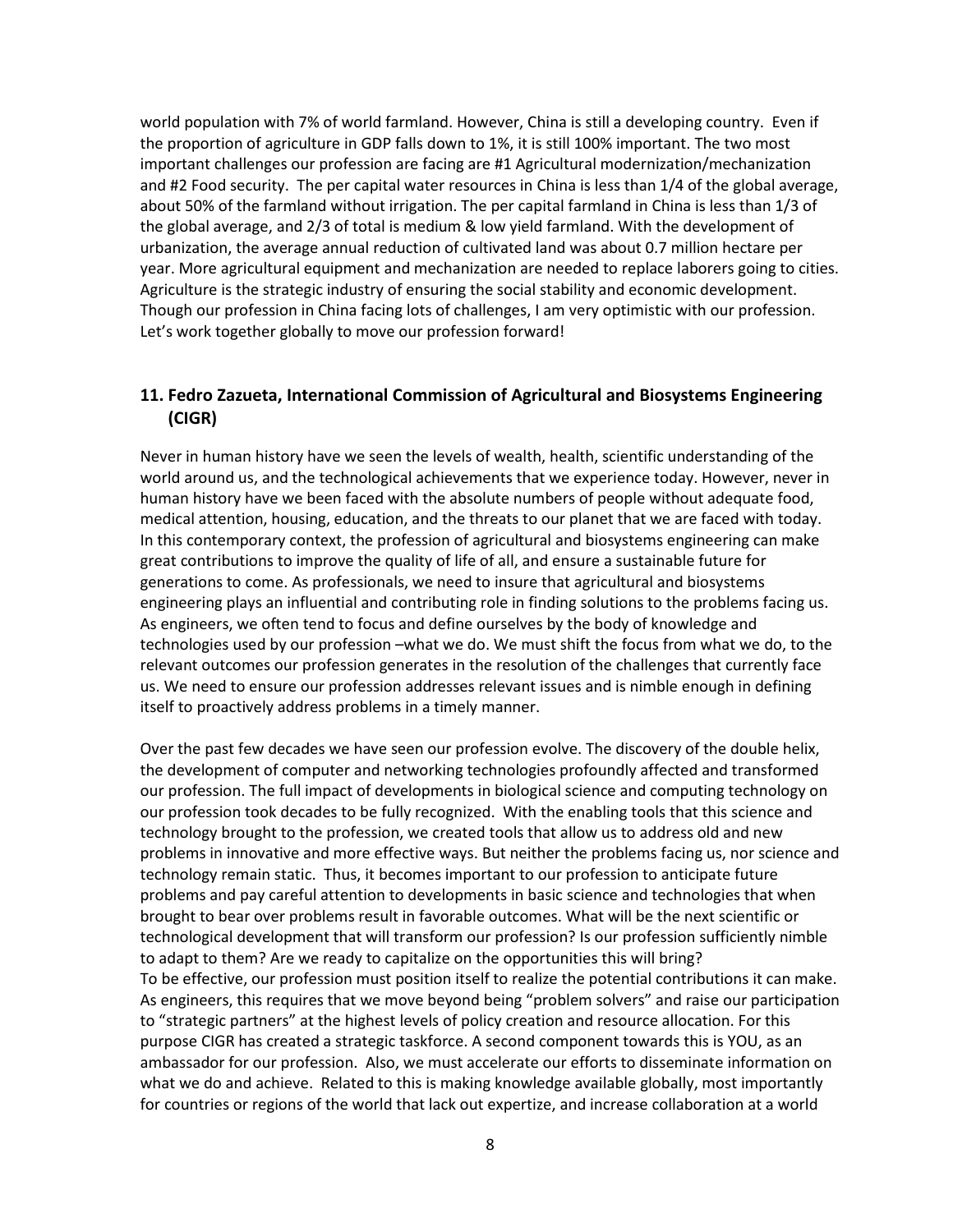world population with 7% of world farmland. However, China is still a developing country. Even if the proportion of agriculture in GDP falls down to 1%, it is still 100% important. The two most important challenges our profession are facing are #1 Agricultural modernization/mechanization and #2 Food security. The per capital water resources in China is less than 1/4 of the global average, about 50% of the farmland without irrigation. The per capital farmland in China is less than 1/3 of the global average, and 2/3 of total is medium & low yield farmland. With the development of urbanization, the average annual reduction of cultivated land was about 0.7 million hectare per year. More agricultural equipment and mechanization are needed to replace laborers going to cities. Agriculture is the strategic industry of ensuring the social stability and economic development. Though our profession in China facing lots of challenges, I am very optimistic with our profession. Let's work together globally to move our profession forward!

## **11. Fedro Zazueta, International Commission of Agricultural and Biosystems Engineering (CIGR)**

Never in human history have we seen the levels of wealth, health, scientific understanding of the world around us, and the technological achievements that we experience today. However, never in human history have we been faced with the absolute numbers of people without adequate food, medical attention, housing, education, and the threats to our planet that we are faced with today. In this contemporary context, the profession of agricultural and biosystems engineering can make great contributions to improve the quality of life of all, and ensure a sustainable future for generations to come. As professionals, we need to insure that agricultural and biosystems engineering plays an influential and contributing role in finding solutions to the problems facing us. As engineers, we often tend to focus and define ourselves by the body of knowledge and technologies used by our profession –what we do. We must shift the focus from what we do, to the relevant outcomes our profession generates in the resolution of the challenges that currently face us. We need to ensure our profession addresses relevant issues and is nimble enough in defining itself to proactively address problems in a timely manner.

Over the past few decades we have seen our profession evolve. The discovery of the double helix, the development of computer and networking technologies profoundly affected and transformed our profession. The full impact of developments in biological science and computing technology on our profession took decades to be fully recognized. With the enabling tools that this science and technology brought to the profession, we created tools that allow us to address old and new problems in innovative and more effective ways. But neither the problems facing us, nor science and technology remain static. Thus, it becomes important to our profession to anticipate future problems and pay careful attention to developments in basic science and technologies that when brought to bear over problems result in favorable outcomes. What will be the next scientific or technological development that will transform our profession? Is our profession sufficiently nimble to adapt to them? Are we ready to capitalize on the opportunities this will bring? To be effective, our profession must position itself to realize the potential contributions it can make. As engineers, this requires that we move beyond being "problem solvers" and raise our participation to "strategic partners" at the highest levels of policy creation and resource allocation. For this purpose CIGR has created a strategic taskforce. A second component towards this is YOU, as an ambassador for our profession. Also, we must accelerate our efforts to disseminate information on what we do and achieve. Related to this is making knowledge available globally, most importantly for countries or regions of the world that lack out expertize, and increase collaboration at a world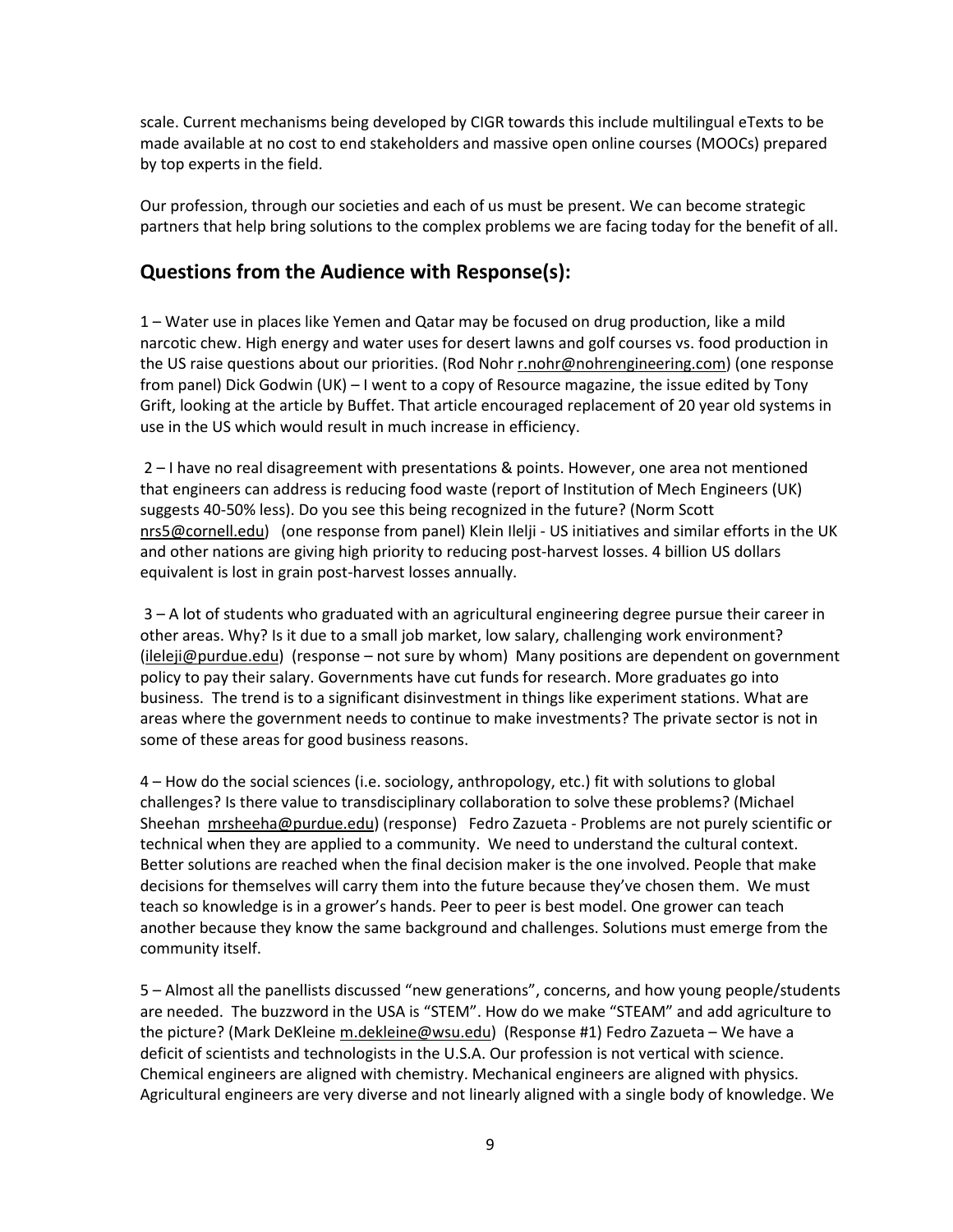scale. Current mechanisms being developed by CIGR towards this include multilingual eTexts to be made available at no cost to end stakeholders and massive open online courses (MOOCs) prepared by top experts in the field.

Our profession, through our societies and each of us must be present. We can become strategic partners that help bring solutions to the complex problems we are facing today for the benefit of all.

# **Questions from the Audience with Response(s):**

1 – Water use in places like Yemen and Qatar may be focused on drug production, like a mild narcotic chew. High energy and water uses for desert lawns and golf courses vs. food production in the US raise questions about our priorities. (Rod Noh[r r.nohr@nohrengineering.com\)](mailto:r.nohr@nohrengineering.com) (one response from panel) Dick Godwin (UK) – I went to a copy of Resource magazine, the issue edited by Tony Grift, looking at the article by Buffet. That article encouraged replacement of 20 year old systems in use in the US which would result in much increase in efficiency.

2 – I have no real disagreement with presentations & points. However, one area not mentioned that engineers can address is reducing food waste (report of Institution of Mech Engineers (UK) suggests 40-50% less). Do you see this being recognized in the future? (Norm Scott [nrs5@cornell.edu\)](mailto:nrs5@cornell.edu) (one response from panel) Klein Ilelji - US initiatives and similar efforts in the UK and other nations are giving high priority to reducing post-harvest losses. 4 billion US dollars equivalent is lost in grain post-harvest losses annually.

3 – A lot of students who graduated with an agricultural engineering degree pursue their career in other areas. Why? Is it due to a small job market, low salary, challenging work environment? [\(ileleji@purdue.edu\)](mailto:ileleji@purdue.edu) (response – not sure by whom) Many positions are dependent on government policy to pay their salary. Governments have cut funds for research. More graduates go into business. The trend is to a significant disinvestment in things like experiment stations. What are areas where the government needs to continue to make investments? The private sector is not in some of these areas for good business reasons.

4 – How do the social sciences (i.e. sociology, anthropology, etc.) fit with solutions to global challenges? Is there value to transdisciplinary collaboration to solve these problems? (Michael Sheehan [mrsheeha@purdue.edu\)](mailto:mrsheeha@purdue.edu) (response) Fedro Zazueta - Problems are not purely scientific or technical when they are applied to a community. We need to understand the cultural context. Better solutions are reached when the final decision maker is the one involved. People that make decisions for themselves will carry them into the future because they've chosen them. We must teach so knowledge is in a grower's hands. Peer to peer is best model. One grower can teach another because they know the same background and challenges. Solutions must emerge from the community itself.

5 – Almost all the panellists discussed "new generations", concerns, and how young people/students are needed. The buzzword in the USA is "STEM". How do we make "STEAM" and add agriculture to the picture? (Mark DeKleine [m.dekleine@wsu.edu\)](mailto:m.dekleine@wsu.edu) (Response #1) Fedro Zazueta – We have a deficit of scientists and technologists in the U.S.A. Our profession is not vertical with science. Chemical engineers are aligned with chemistry. Mechanical engineers are aligned with physics. Agricultural engineers are very diverse and not linearly aligned with a single body of knowledge. We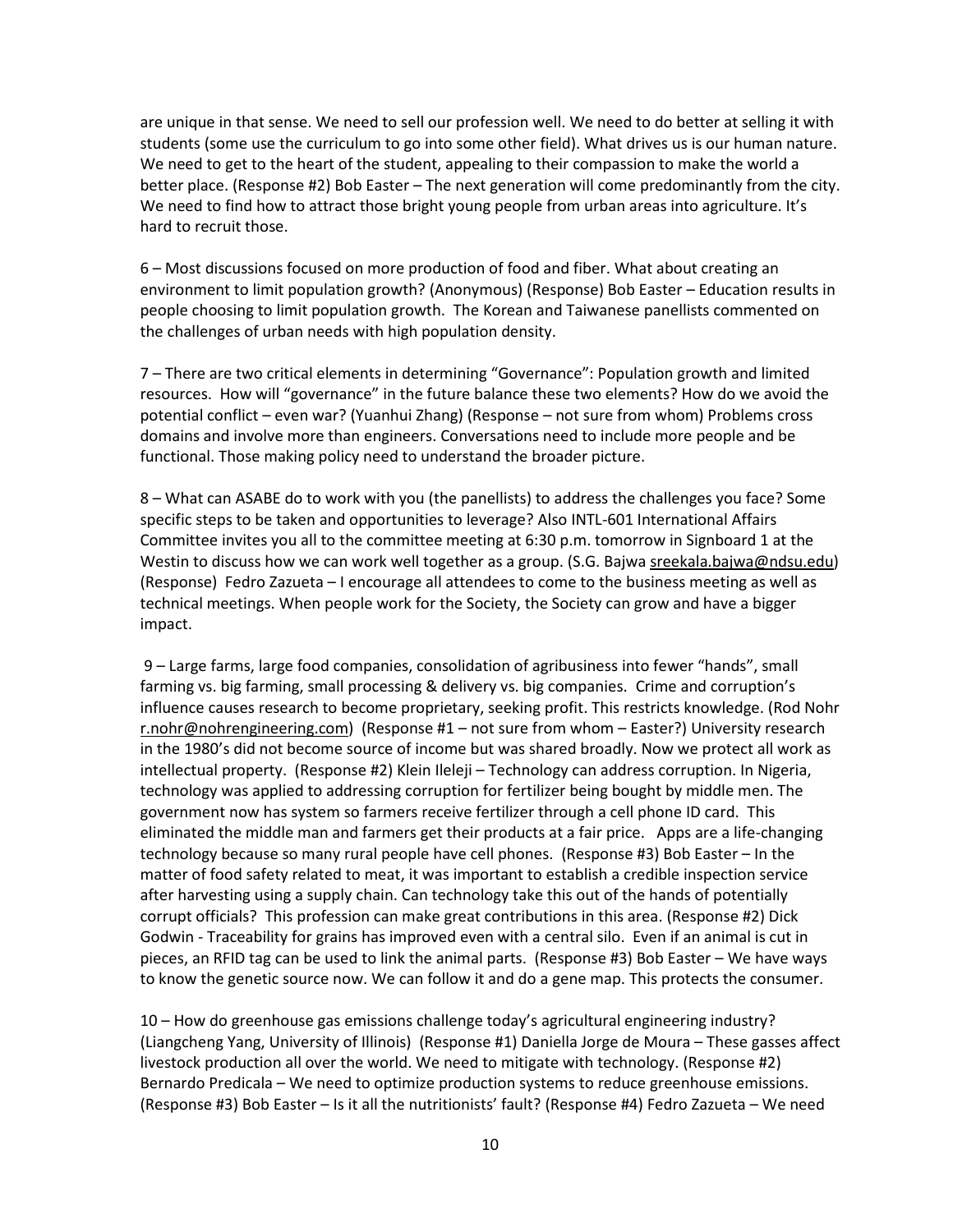are unique in that sense. We need to sell our profession well. We need to do better at selling it with students (some use the curriculum to go into some other field). What drives us is our human nature. We need to get to the heart of the student, appealing to their compassion to make the world a better place. (Response #2) Bob Easter – The next generation will come predominantly from the city. We need to find how to attract those bright young people from urban areas into agriculture. It's hard to recruit those.

6 – Most discussions focused on more production of food and fiber. What about creating an environment to limit population growth? (Anonymous) (Response) Bob Easter – Education results in people choosing to limit population growth. The Korean and Taiwanese panellists commented on the challenges of urban needs with high population density.

7 – There are two critical elements in determining "Governance": Population growth and limited resources. How will "governance" in the future balance these two elements? How do we avoid the potential conflict – even war? (Yuanhui Zhang) (Response – not sure from whom) Problems cross domains and involve more than engineers. Conversations need to include more people and be functional. Those making policy need to understand the broader picture.

8 – What can ASABE do to work with you (the panellists) to address the challenges you face? Some specific steps to be taken and opportunities to leverage? Also INTL-601 International Affairs Committee invites you all to the committee meeting at 6:30 p.m. tomorrow in Signboard 1 at the Westin to discuss how we can work well together as a group. (S.G. Bajw[a sreekala.bajwa@ndsu.edu\)](mailto:sreekala.bajwa@ndsu.edu) (Response) Fedro Zazueta – I encourage all attendees to come to the business meeting as well as technical meetings. When people work for the Society, the Society can grow and have a bigger impact.

9 – Large farms, large food companies, consolidation of agribusiness into fewer "hands", small farming vs. big farming, small processing & delivery vs. big companies. Crime and corruption's influence causes research to become proprietary, seeking profit. This restricts knowledge. (Rod Nohr [r.nohr@nohrengineering.com\)](mailto:r.nohr@nohrengineering.com) (Response #1 – not sure from whom – Easter?) University research in the 1980's did not become source of income but was shared broadly. Now we protect all work as intellectual property. (Response #2) Klein Ileleji – Technology can address corruption. In Nigeria, technology was applied to addressing corruption for fertilizer being bought by middle men. The government now has system so farmers receive fertilizer through a cell phone ID card. This eliminated the middle man and farmers get their products at a fair price. Apps are a life-changing technology because so many rural people have cell phones. (Response #3) Bob Easter – In the matter of food safety related to meat, it was important to establish a credible inspection service after harvesting using a supply chain. Can technology take this out of the hands of potentially corrupt officials? This profession can make great contributions in this area. (Response #2) Dick Godwin - Traceability for grains has improved even with a central silo. Even if an animal is cut in pieces, an RFID tag can be used to link the animal parts. (Response #3) Bob Easter – We have ways to know the genetic source now. We can follow it and do a gene map. This protects the consumer.

10 – How do greenhouse gas emissions challenge today's agricultural engineering industry? (Liangcheng Yang, University of Illinois) (Response #1) Daniella Jorge de Moura – These gasses affect livestock production all over the world. We need to mitigate with technology. (Response #2) Bernardo Predicala – We need to optimize production systems to reduce greenhouse emissions. (Response #3) Bob Easter – Is it all the nutritionists' fault? (Response #4) Fedro Zazueta – We need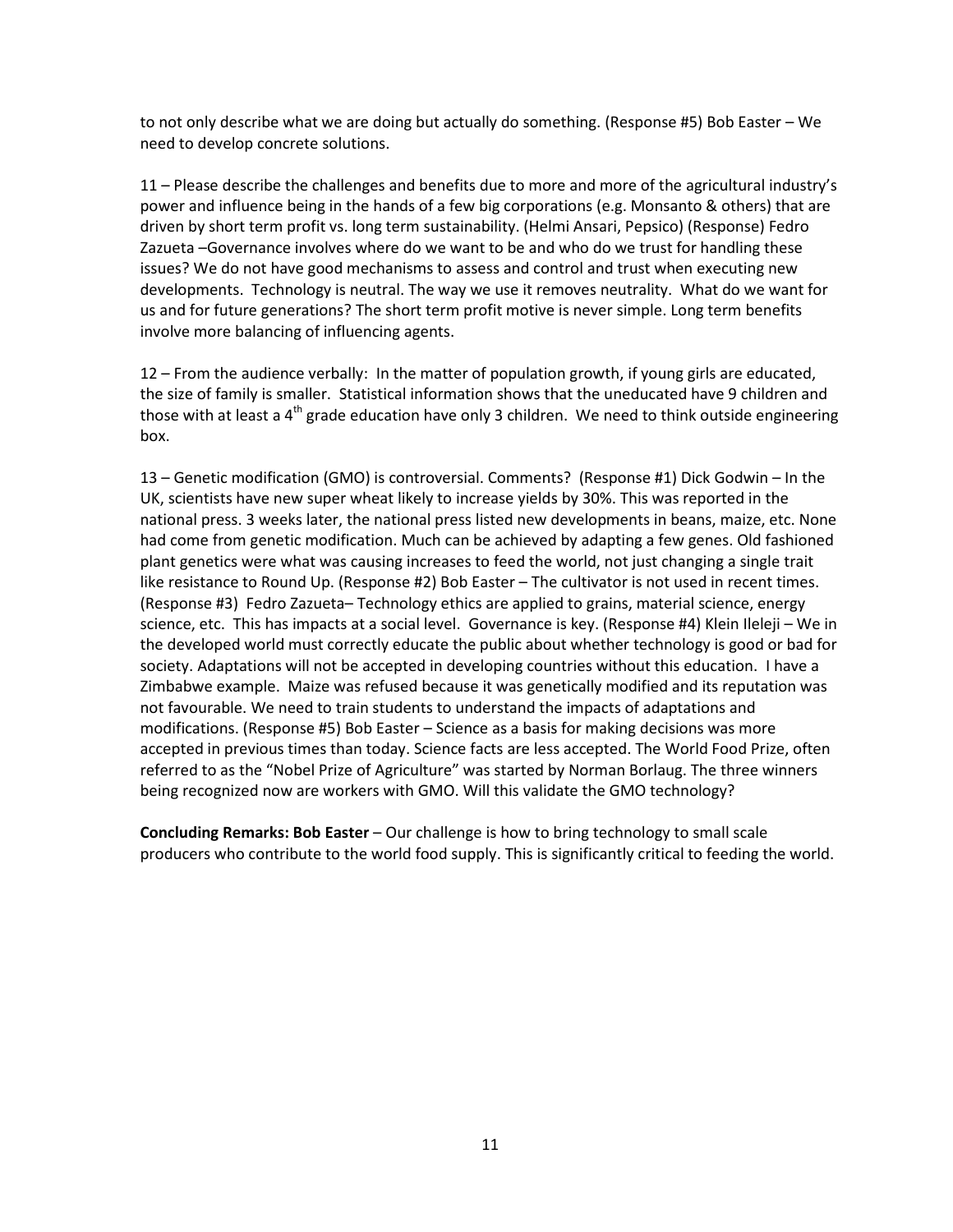to not only describe what we are doing but actually do something. (Response #5) Bob Easter – We need to develop concrete solutions.

11 – Please describe the challenges and benefits due to more and more of the agricultural industry's power and influence being in the hands of a few big corporations (e.g. Monsanto & others) that are driven by short term profit vs. long term sustainability. (Helmi Ansari, Pepsico) (Response) Fedro Zazueta –Governance involves where do we want to be and who do we trust for handling these issues? We do not have good mechanisms to assess and control and trust when executing new developments. Technology is neutral. The way we use it removes neutrality. What do we want for us and for future generations? The short term profit motive is never simple. Long term benefits involve more balancing of influencing agents.

12 – From the audience verbally: In the matter of population growth, if young girls are educated, the size of family is smaller. Statistical information shows that the uneducated have 9 children and those with at least a 4<sup>th</sup> grade education have only 3 children. We need to think outside engineering box.

13 – Genetic modification (GMO) is controversial. Comments? (Response #1) Dick Godwin – In the UK, scientists have new super wheat likely to increase yields by 30%. This was reported in the national press. 3 weeks later, the national press listed new developments in beans, maize, etc. None had come from genetic modification. Much can be achieved by adapting a few genes. Old fashioned plant genetics were what was causing increases to feed the world, not just changing a single trait like resistance to Round Up. (Response #2) Bob Easter – The cultivator is not used in recent times. (Response #3) Fedro Zazueta– Technology ethics are applied to grains, material science, energy science, etc. This has impacts at a social level. Governance is key. (Response #4) Klein Ileleji – We in the developed world must correctly educate the public about whether technology is good or bad for society. Adaptations will not be accepted in developing countries without this education. I have a Zimbabwe example. Maize was refused because it was genetically modified and its reputation was not favourable. We need to train students to understand the impacts of adaptations and modifications. (Response #5) Bob Easter – Science as a basis for making decisions was more accepted in previous times than today. Science facts are less accepted. The World Food Prize, often referred to as the "Nobel Prize of Agriculture" was started by Norman Borlaug. The three winners being recognized now are workers with GMO. Will this validate the GMO technology?

**Concluding Remarks: Bob Easter** – Our challenge is how to bring technology to small scale producers who contribute to the world food supply. This is significantly critical to feeding the world.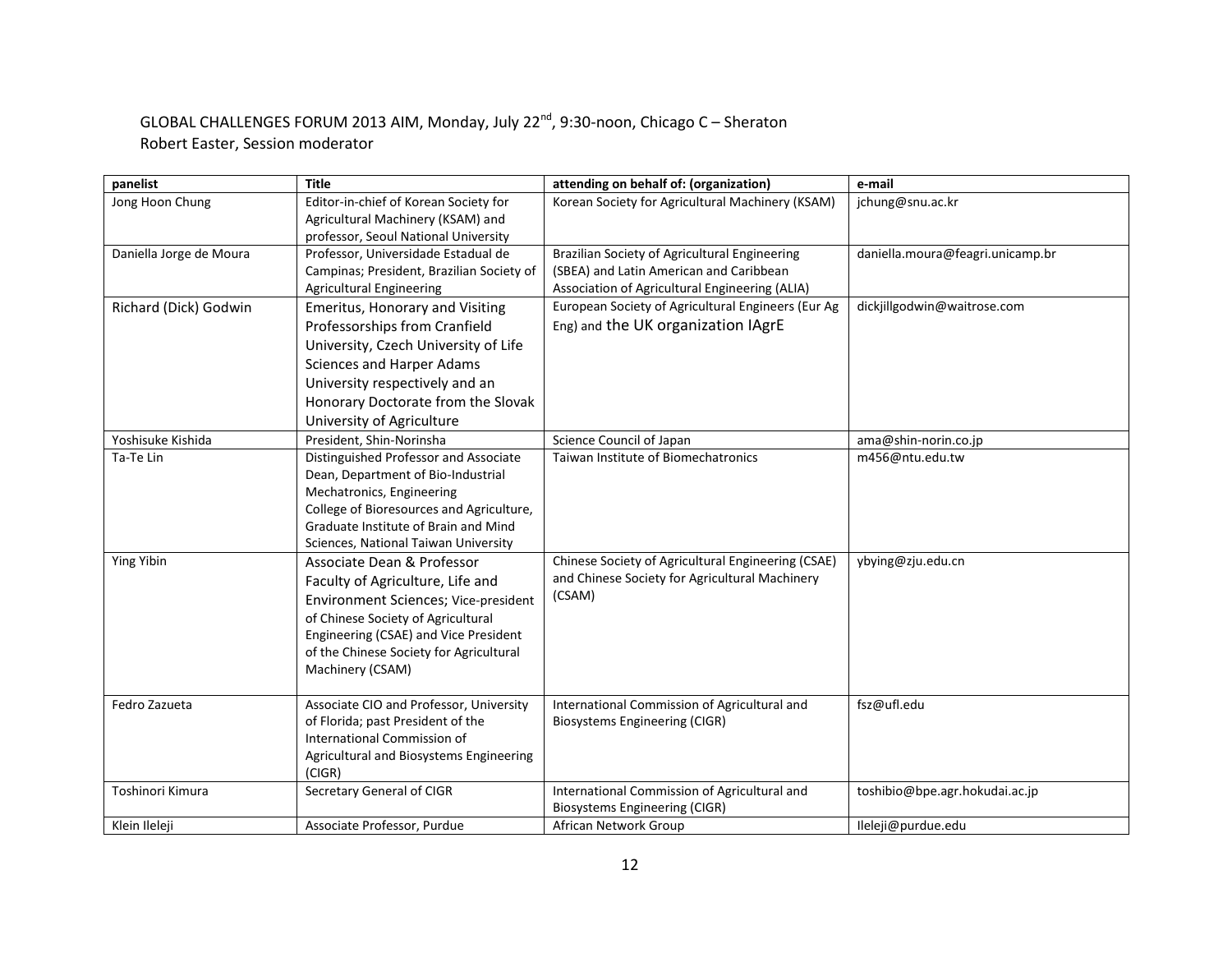## GLOBAL CHALLENGES FORUM 2013 AIM, Monday, July 22<sup>nd</sup>, 9:30-noon, Chicago C – Sheraton Robert Easter, Session moderator

| panelist                | <b>Title</b>                              | attending on behalf of: (organization)                   | e-mail                           |
|-------------------------|-------------------------------------------|----------------------------------------------------------|----------------------------------|
| Jong Hoon Chung         | Editor-in-chief of Korean Society for     | Korean Society for Agricultural Machinery (KSAM)         | jchung@snu.ac.kr                 |
|                         | Agricultural Machinery (KSAM) and         |                                                          |                                  |
|                         | professor, Seoul National University      |                                                          |                                  |
| Daniella Jorge de Moura | Professor, Universidade Estadual de       | Brazilian Society of Agricultural Engineering            | daniella.moura@feagri.unicamp.br |
|                         | Campinas; President, Brazilian Society of | (SBEA) and Latin American and Caribbean                  |                                  |
|                         | <b>Agricultural Engineering</b>           | Association of Agricultural Engineering (ALIA)           |                                  |
| Richard (Dick) Godwin   | <b>Emeritus, Honorary and Visiting</b>    | European Society of Agricultural Engineers (Eur Ag       | dickjillgodwin@waitrose.com      |
|                         | Professorships from Cranfield             | Eng) and the UK organization IAgrE                       |                                  |
|                         | University, Czech University of Life      |                                                          |                                  |
|                         | <b>Sciences and Harper Adams</b>          |                                                          |                                  |
|                         | University respectively and an            |                                                          |                                  |
|                         | Honorary Doctorate from the Slovak        |                                                          |                                  |
|                         | University of Agriculture                 |                                                          |                                  |
| Yoshisuke Kishida       | President, Shin-Norinsha                  | Science Council of Japan                                 | ama@shin-norin.co.jp             |
| Ta-Te Lin               | Distinguished Professor and Associate     | Taiwan Institute of Biomechatronics                      | m456@ntu.edu.tw                  |
|                         | Dean, Department of Bio-Industrial        |                                                          |                                  |
|                         | Mechatronics, Engineering                 |                                                          |                                  |
|                         | College of Bioresources and Agriculture,  |                                                          |                                  |
|                         | Graduate Institute of Brain and Mind      |                                                          |                                  |
|                         | Sciences, National Taiwan University      |                                                          |                                  |
| <b>Ying Yibin</b>       | Associate Dean & Professor                | Chinese Society of Agricultural Engineering (CSAE)       | ybying@zju.edu.cn                |
|                         | Faculty of Agriculture, Life and          | and Chinese Society for Agricultural Machinery<br>(CSAM) |                                  |
|                         | Environment Sciences; Vice-president      |                                                          |                                  |
|                         | of Chinese Society of Agricultural        |                                                          |                                  |
|                         | Engineering (CSAE) and Vice President     |                                                          |                                  |
|                         | of the Chinese Society for Agricultural   |                                                          |                                  |
|                         | Machinery (CSAM)                          |                                                          |                                  |
| Fedro Zazueta           | Associate CIO and Professor, University   | International Commission of Agricultural and             | fsz@ufl.edu                      |
|                         | of Florida; past President of the         | <b>Biosystems Engineering (CIGR)</b>                     |                                  |
|                         | International Commission of               |                                                          |                                  |
|                         | Agricultural and Biosystems Engineering   |                                                          |                                  |
|                         | (CIGR)                                    |                                                          |                                  |
| Toshinori Kimura        | Secretary General of CIGR                 | International Commission of Agricultural and             | toshibio@bpe.agr.hokudai.ac.jp   |
|                         |                                           | <b>Biosystems Engineering (CIGR)</b>                     |                                  |
| Klein Ileleji           | Associate Professor, Purdue               | African Network Group                                    | Ileleji@purdue.edu               |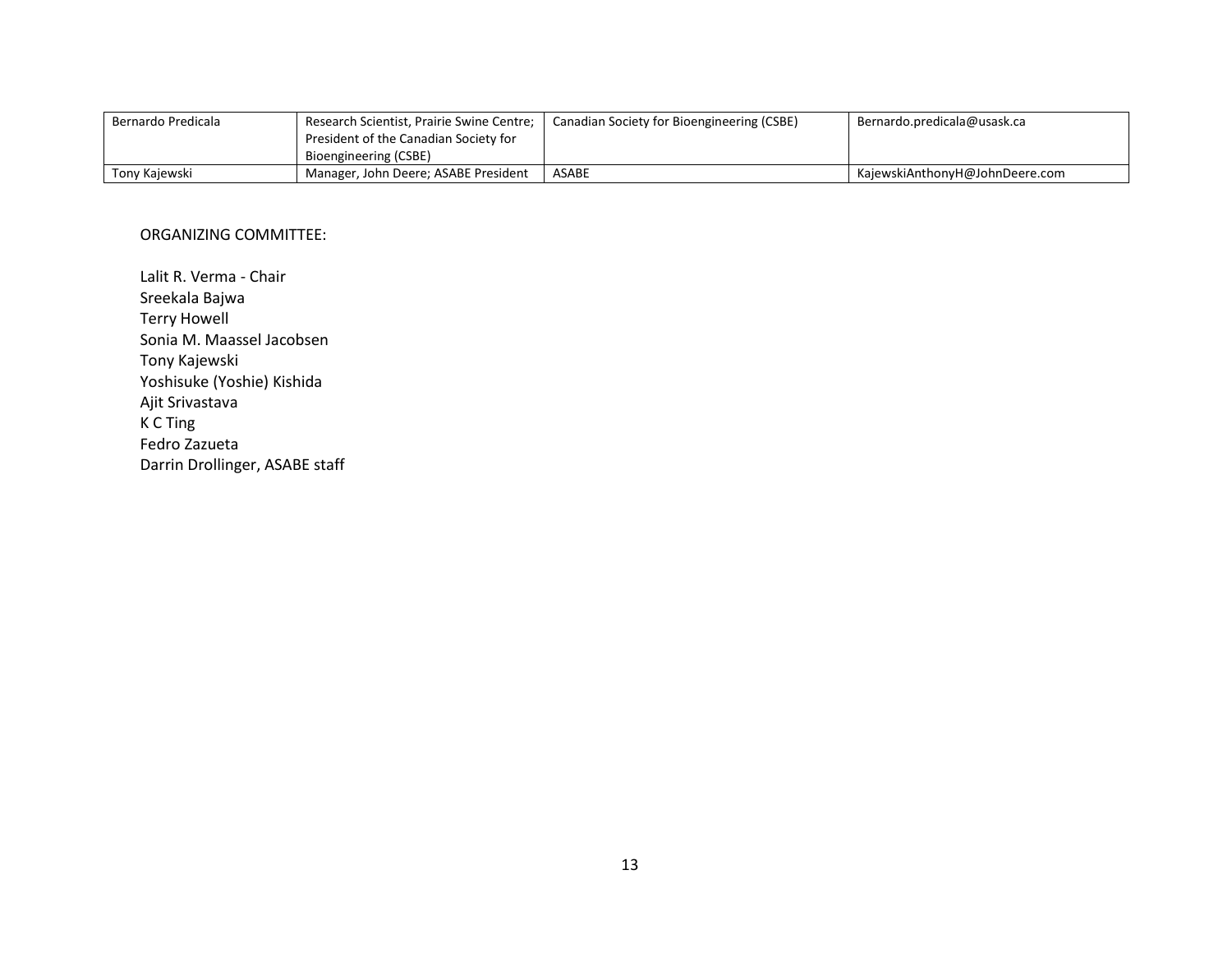| Bernardo Predicala | Research Scientist, Prairie Swine Centre; | Canadian Society for Bioengineering (CSBE) | Bernardo.predicala@usask.ca    |
|--------------------|-------------------------------------------|--------------------------------------------|--------------------------------|
|                    | President of the Canadian Society for     |                                            |                                |
|                    | Bioengineering (CSBE)                     |                                            |                                |
| Tony Kajewski      | Manager, John Deere; ASABE President      | ASABE                                      | KajewskiAnthonyH@JohnDeere.com |

#### ORGANIZING COMMITTEE:

Lalit R. Verma - Chair Sreekala Bajwa Terry Howell Sonia M. Maassel Jacobsen Tony Kajewski Yoshisuke (Yoshie) Kishida Ajit Srivastava K C Ting Fedro Zazueta Darrin Drollinger, ASABE staff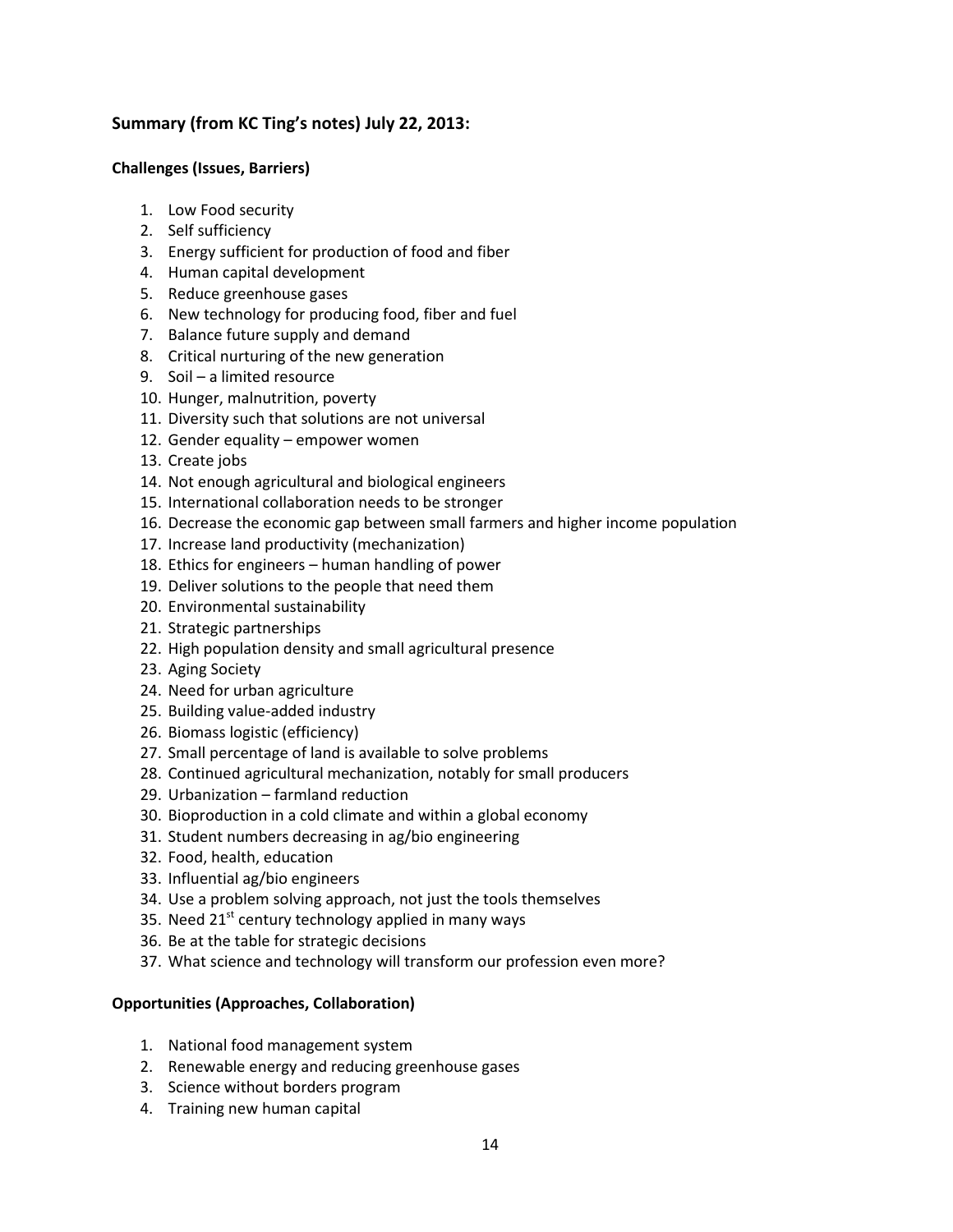## **Summary (from KC Ting's notes) July 22, 2013:**

#### **Challenges (Issues, Barriers)**

- 1. Low Food security
- 2. Self sufficiency
- 3. Energy sufficient for production of food and fiber
- 4. Human capital development
- 5. Reduce greenhouse gases
- 6. New technology for producing food, fiber and fuel
- 7. Balance future supply and demand
- 8. Critical nurturing of the new generation
- 9. Soil a limited resource
- 10. Hunger, malnutrition, poverty
- 11. Diversity such that solutions are not universal
- 12. Gender equality empower women
- 13. Create jobs
- 14. Not enough agricultural and biological engineers
- 15. International collaboration needs to be stronger
- 16. Decrease the economic gap between small farmers and higher income population
- 17. Increase land productivity (mechanization)
- 18. Ethics for engineers human handling of power
- 19. Deliver solutions to the people that need them
- 20. Environmental sustainability
- 21. Strategic partnerships
- 22. High population density and small agricultural presence
- 23. Aging Society
- 24. Need for urban agriculture
- 25. Building value-added industry
- 26. Biomass logistic (efficiency)
- 27. Small percentage of land is available to solve problems
- 28. Continued agricultural mechanization, notably for small producers
- 29. Urbanization farmland reduction
- 30. Bioproduction in a cold climate and within a global economy
- 31. Student numbers decreasing in ag/bio engineering
- 32. Food, health, education
- 33. Influential ag/bio engineers
- 34. Use a problem solving approach, not just the tools themselves
- 35. Need  $21^{st}$  century technology applied in many ways
- 36. Be at the table for strategic decisions
- 37. What science and technology will transform our profession even more?

#### **Opportunities (Approaches, Collaboration)**

- 1. National food management system
- 2. Renewable energy and reducing greenhouse gases
- 3. Science without borders program
- 4. Training new human capital